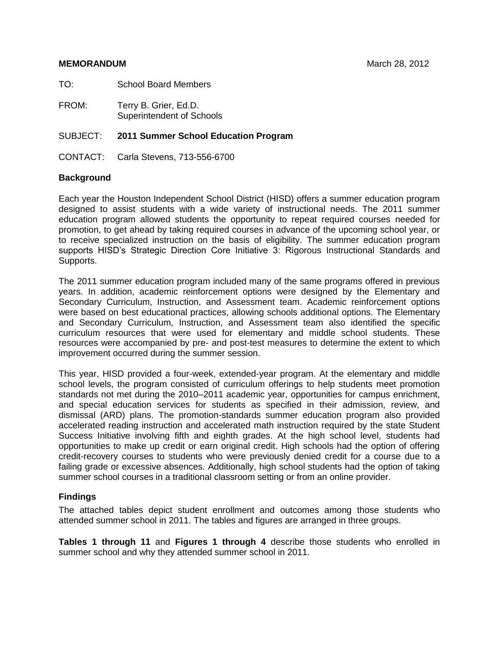### **MEMORANDUM** March 28, 2012

TO: School Board Members

FROM: Terry B. Grier, Ed.D. Superintendent of Schools

# SUBJECT: **2011 Summer School Education Program**

CONTACT: Carla Stevens, 713-556-6700

# **Background**

Each year the Houston Independent School District (HISD) offers a summer education program designed to assist students with a wide variety of instructional needs. The 2011 summer education program allowed students the opportunity to repeat required courses needed for promotion, to get ahead by taking required courses in advance of the upcoming school year, or to receive specialized instruction on the basis of eligibility. The summer education program supports HISD's Strategic Direction Core Initiative 3: Rigorous Instructional Standards and Supports.

The 2011 summer education program included many of the same programs offered in previous years. In addition, academic reinforcement options were designed by the Elementary and Secondary Curriculum, Instruction, and Assessment team. Academic reinforcement options were based on best educational practices, allowing schools additional options. The Elementary and Secondary Curriculum, Instruction, and Assessment team also identified the specific curriculum resources that were used for elementary and middle school students. These resources were accompanied by pre- and post-test measures to determine the extent to which improvement occurred during the summer session.

This year, HISD provided a four-week, extended-year program. At the elementary and middle school levels, the program consisted of curriculum offerings to help students meet promotion standards not met during the 2010–2011 academic year, opportunities for campus enrichment, and special education services for students as specified in their admission, review, and dismissal (ARD) plans. The promotion-standards summer education program also provided accelerated reading instruction and accelerated math instruction required by the state Student Success Initiative involving fifth and eighth grades. At the high school level, students had opportunities to make up credit or earn original credit. High schools had the option of offering credit-recovery courses to students who were previously denied credit for a course due to a failing grade or excessive absences. Additionally, high school students had the option of taking summer school courses in a traditional classroom setting or from an online provider.

# **Findings**

The attached tables depict student enrollment and outcomes among those students who attended summer school in 2011. The tables and figures are arranged in three groups.

**Tables 1 through 11** and **Figures 1 through 4** describe those students who enrolled in summer school and why they attended summer school in 2011.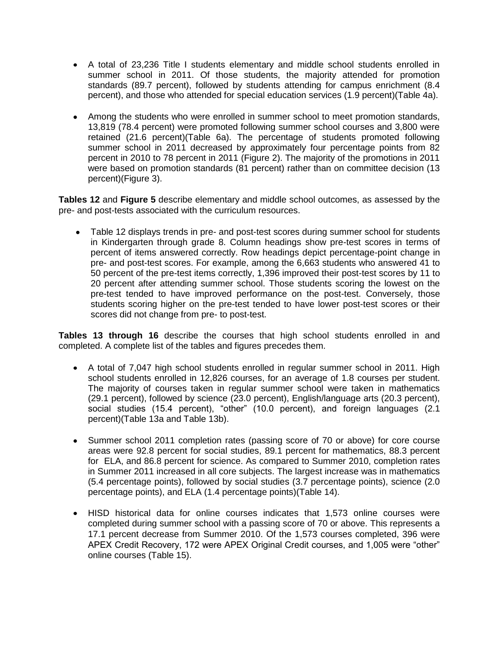- A total of 23,236 Title I students elementary and middle school students enrolled in summer school in 2011. Of those students, the majority attended for promotion standards (89.7 percent), followed by students attending for campus enrichment (8.4 percent), and those who attended for special education services (1.9 percent)(Table 4a).
- Among the students who were enrolled in summer school to meet promotion standards, 13,819 (78.4 percent) were promoted following summer school courses and 3,800 were retained (21.6 percent)(Table 6a). The percentage of students promoted following summer school in 2011 decreased by approximately four percentage points from 82 percent in 2010 to 78 percent in 2011 (Figure 2). The majority of the promotions in 2011 were based on promotion standards (81 percent) rather than on committee decision (13 percent)(Figure 3).

**Tables 12** and **Figure 5** describe elementary and middle school outcomes, as assessed by the pre- and post-tests associated with the curriculum resources.

• Table 12 displays trends in pre- and post-test scores during summer school for students in Kindergarten through grade 8. Column headings show pre-test scores in terms of percent of items answered correctly. Row headings depict percentage-point change in pre- and post-test scores. For example, among the 6,663 students who answered 41 to 50 percent of the pre-test items correctly, 1,396 improved their post-test scores by 11 to 20 percent after attending summer school. Those students scoring the lowest on the pre-test tended to have improved performance on the post-test. Conversely, those students scoring higher on the pre-test tended to have lower post-test scores or their scores did not change from pre- to post-test.

**Tables 13 through 16** describe the courses that high school students enrolled in and completed. A complete list of the tables and figures precedes them.

- A total of 7,047 high school students enrolled in regular summer school in 2011. High school students enrolled in 12,826 courses, for an average of 1.8 courses per student. The majority of courses taken in regular summer school were taken in mathematics (29.1 percent), followed by science (23.0 percent), English/language arts (20.3 percent), social studies (15.4 percent), "other" (10.0 percent), and foreign languages (2.1 percent)(Table 13a and Table 13b).
- Summer school 2011 completion rates (passing score of 70 or above) for core course areas were 92.8 percent for social studies, 89.1 percent for mathematics, 88.3 percent for ELA, and 86.8 percent for science. As compared to Summer 2010, completion rates in Summer 2011 increased in all core subjects. The largest increase was in mathematics (5.4 percentage points), followed by social studies (3.7 percentage points), science (2.0 percentage points), and ELA (1.4 percentage points)(Table 14).
- HISD historical data for online courses indicates that 1,573 online courses were completed during summer school with a passing score of 70 or above. This represents a 17.1 percent decrease from Summer 2010. Of the 1,573 courses completed, 396 were APEX Credit Recovery, 172 were APEX Original Credit courses, and 1,005 were "other" online courses (Table 15).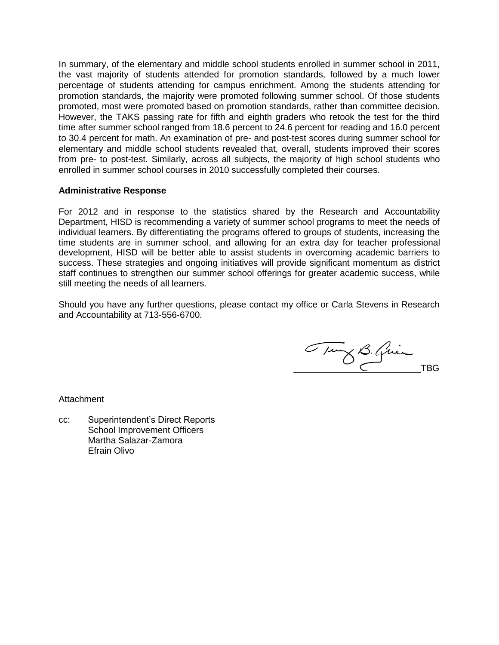In summary, of the elementary and middle school students enrolled in summer school in 2011, the vast majority of students attended for promotion standards, followed by a much lower percentage of students attending for campus enrichment. Among the students attending for promotion standards, the majority were promoted following summer school. Of those students promoted, most were promoted based on promotion standards, rather than committee decision. However, the TAKS passing rate for fifth and eighth graders who retook the test for the third time after summer school ranged from 18.6 percent to 24.6 percent for reading and 16.0 percent to 30.4 percent for math. An examination of pre- and post-test scores during summer school for elementary and middle school students revealed that, overall, students improved their scores from pre- to post-test. Similarly, across all subjects, the majority of high school students who enrolled in summer school courses in 2010 successfully completed their courses.

# **Administrative Response**

For 2012 and in response to the statistics shared by the Research and Accountability Department, HISD is recommending a variety of summer school programs to meet the needs of individual learners. By differentiating the programs offered to groups of students, increasing the time students are in summer school, and allowing for an extra day for teacher professional development, HISD will be better able to assist students in overcoming academic barriers to success. These strategies and ongoing initiatives will provide significant momentum as district staff continues to strengthen our summer school offerings for greater academic success, while still meeting the needs of all learners.

Should you have any further questions, please contact my office or Carla Stevens in Research and Accountability at 713-556-6700.

Tury B. Quince

**Attachment** 

cc: Superintendent's Direct Reports School Improvement Officers Martha Salazar-Zamora Efrain Olivo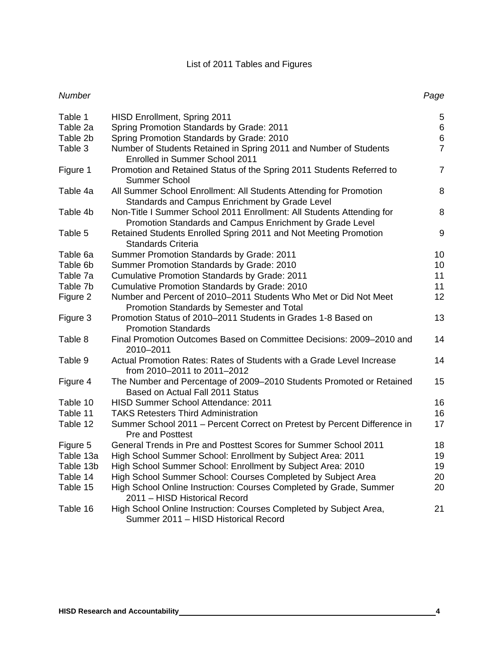# List of 2011 Tables and Figures

# *Number Page*

| Table 1<br>Table 2a | <b>HISD Enrollment, Spring 2011</b><br>Spring Promotion Standards by Grade: 2011                                                  | $\mathbf 5$<br>$\,6$ |
|---------------------|-----------------------------------------------------------------------------------------------------------------------------------|----------------------|
| Table 2b            | Spring Promotion Standards by Grade: 2010                                                                                         | $\,6$                |
| Table 3             | Number of Students Retained in Spring 2011 and Number of Students                                                                 | $\overline{7}$       |
|                     | Enrolled in Summer School 2011                                                                                                    |                      |
| Figure 1            | Promotion and Retained Status of the Spring 2011 Students Referred to<br><b>Summer School</b>                                     | $\overline{7}$       |
| Table 4a            | All Summer School Enrollment: All Students Attending for Promotion<br>Standards and Campus Enrichment by Grade Level              | 8                    |
| Table 4b            | Non-Title I Summer School 2011 Enrollment: All Students Attending for<br>Promotion Standards and Campus Enrichment by Grade Level | 8                    |
| Table 5             | Retained Students Enrolled Spring 2011 and Not Meeting Promotion<br><b>Standards Criteria</b>                                     | 9                    |
| Table 6a            | Summer Promotion Standards by Grade: 2011                                                                                         | 10                   |
| Table 6b            | Summer Promotion Standards by Grade: 2010                                                                                         | 10                   |
| Table 7a            | Cumulative Promotion Standards by Grade: 2011                                                                                     | 11                   |
| Table 7b            | Cumulative Promotion Standards by Grade: 2010                                                                                     | 11                   |
| Figure 2            | Number and Percent of 2010-2011 Students Who Met or Did Not Meet                                                                  | 12                   |
|                     | Promotion Standards by Semester and Total                                                                                         |                      |
| Figure 3            | Promotion Status of 2010–2011 Students in Grades 1-8 Based on<br><b>Promotion Standards</b>                                       | 13                   |
| Table 8             | Final Promotion Outcomes Based on Committee Decisions: 2009-2010 and<br>2010-2011                                                 | 14                   |
| Table 9             | Actual Promotion Rates: Rates of Students with a Grade Level Increase<br>from 2010-2011 to 2011-2012                              | 14                   |
| Figure 4            | The Number and Percentage of 2009-2010 Students Promoted or Retained<br>Based on Actual Fall 2011 Status                          | 15                   |
| Table 10            | <b>HISD Summer School Attendance: 2011</b>                                                                                        | 16                   |
| Table 11            | <b>TAKS Retesters Third Administration</b>                                                                                        | 16                   |
| Table 12            | Summer School 2011 - Percent Correct on Pretest by Percent Difference in<br><b>Pre and Posttest</b>                               | 17                   |
| Figure 5            | General Trends in Pre and Posttest Scores for Summer School 2011                                                                  | 18                   |
| Table 13a           | High School Summer School: Enrollment by Subject Area: 2011                                                                       | 19                   |
| Table 13b           | High School Summer School: Enrollment by Subject Area: 2010                                                                       | 19                   |
| Table 14            | High School Summer School: Courses Completed by Subject Area                                                                      | 20                   |
| Table 15            | High School Online Instruction: Courses Completed by Grade, Summer<br>2011 - HISD Historical Record                               | 20                   |
| Table 16            | High School Online Instruction: Courses Completed by Subject Area,<br>Summer 2011 - HISD Historical Record                        | 21                   |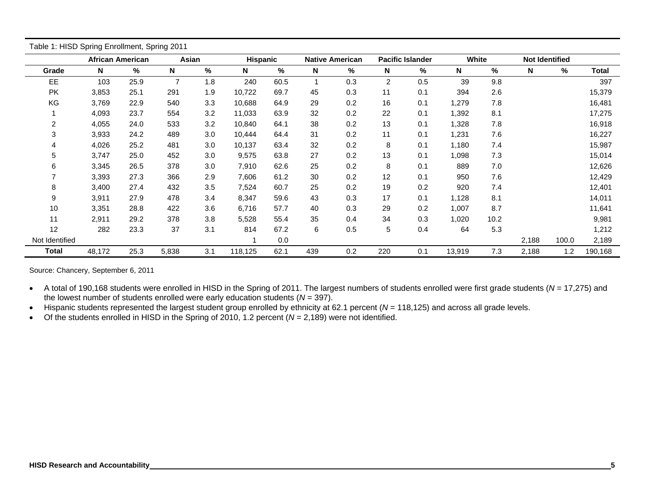|                | <b>African American</b> |      | Asian          |     | <b>Hispanic</b> |      |             | <b>Native American</b> |     | <b>Pacific Islander</b> | White  |      | <b>Not Identified</b> |       |         |
|----------------|-------------------------|------|----------------|-----|-----------------|------|-------------|------------------------|-----|-------------------------|--------|------|-----------------------|-------|---------|
| Grade          | N                       | %    | N              | %   | N               | $\%$ | $\mathbf N$ | %                      | N   | %                       | N      | %    | N                     | $\%$  | Total   |
| EE             | 103                     | 25.9 | $\overline{7}$ | 1.8 | 240             | 60.5 |             | 0.3                    | 2   | 0.5                     | 39     | 9.8  |                       |       | 397     |
| PK             | 3,853                   | 25.1 | 291            | 1.9 | 10,722          | 69.7 | 45          | 0.3                    | 11  | 0.1                     | 394    | 2.6  |                       |       | 15,379  |
| KG             | 3,769                   | 22.9 | 540            | 3.3 | 10,688          | 64.9 | 29          | 0.2                    | 16  | 0.1                     | 1,279  | 7.8  |                       |       | 16,481  |
|                | 4,093                   | 23.7 | 554            | 3.2 | 11,033          | 63.9 | 32          | 0.2                    | 22  | 0.1                     | 1,392  | 8.1  |                       |       | 17,275  |
| 2              | 4,055                   | 24.0 | 533            | 3.2 | 10,840          | 64.1 | 38          | 0.2                    | 13  | 0.1                     | 1,328  | 7.8  |                       |       | 16,918  |
| 3              | 3,933                   | 24.2 | 489            | 3.0 | 10,444          | 64.4 | 31          | 0.2                    | 11  | 0.1                     | 1,231  | 7.6  |                       |       | 16,227  |
| 4              | 4,026                   | 25.2 | 481            | 3.0 | 10,137          | 63.4 | 32          | 0.2                    | 8   | 0.1                     | 1,180  | 7.4  |                       |       | 15,987  |
| 5              | 3,747                   | 25.0 | 452            | 3.0 | 9,575           | 63.8 | 27          | 0.2                    | 13  | 0.1                     | 1,098  | 7.3  |                       |       | 15,014  |
| 6              | 3,345                   | 26.5 | 378            | 3.0 | 7,910           | 62.6 | 25          | 0.2                    | 8   | 0.1                     | 889    | 7.0  |                       |       | 12,626  |
|                | 3,393                   | 27.3 | 366            | 2.9 | 7,606           | 61.2 | 30          | 0.2                    | 12  | 0.1                     | 950    | 7.6  |                       |       | 12,429  |
| 8              | 3,400                   | 27.4 | 432            | 3.5 | 7,524           | 60.7 | 25          | 0.2                    | 19  | 0.2                     | 920    | 7.4  |                       |       | 12,401  |
| 9              | 3,911                   | 27.9 | 478            | 3.4 | 8,347           | 59.6 | 43          | 0.3                    | 17  | 0.1                     | 1,128  | 8.1  |                       |       | 14,011  |
| 10             | 3,351                   | 28.8 | 422            | 3.6 | 6,716           | 57.7 | 40          | 0.3                    | 29  | 0.2                     | 1,007  | 8.7  |                       |       | 11,641  |
| 11             | 2,911                   | 29.2 | 378            | 3.8 | 5,528           | 55.4 | 35          | 0.4                    | 34  | 0.3                     | 1,020  | 10.2 |                       |       | 9,981   |
| 12             | 282                     | 23.3 | 37             | 3.1 | 814             | 67.2 | 6           | 0.5                    | 5   | 0.4                     | 64     | 5.3  |                       |       | 1,212   |
| Not Identified |                         |      |                |     |                 | 0.0  |             |                        |     |                         |        |      | 2,188                 | 100.0 | 2,189   |
| Total          | 48,172                  | 25.3 | 5,838          | 3.1 | 118,125         | 62.1 | 439         | 0.2                    | 220 | 0.1                     | 13,919 | 7.3  | 2,188                 | 1.2   | 190,168 |

Source: Chancery, September 6, 2011

 A total of 190,168 students were enrolled in HISD in the Spring of 2011. The largest numbers of students enrolled were first grade students ( *N* = 17,275) and the lowest number of students enrolled were early education students ( *N* = 397).

Hispanic students represented the largest student group enrolled by ethnicity at 62.1 percent ( *N* = 118,125) and across all grade levels.

Of the students enrolled in HISD in the Spring of 2010, 1.2 percent ( *N* = 2,189) were not identified.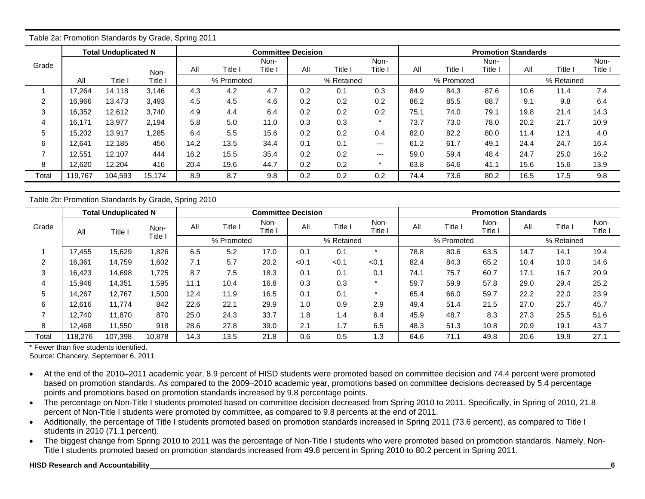|                |         | <b>Total Unduplicated N</b> |         |      |            | <b>Committee Decision</b> |     |            |         |      |            | <b>Promotion Standards</b> |      |            |         |
|----------------|---------|-----------------------------|---------|------|------------|---------------------------|-----|------------|---------|------|------------|----------------------------|------|------------|---------|
| Grade          |         |                             |         |      |            | Non-                      |     |            | Non-    |      |            | Non-                       |      |            | Non-    |
|                |         |                             | Non-    | All  | Title I    | Title l                   | All | Title l    | Title   | All  | Title I    | Title                      | All  | Title      | Title l |
|                | All     | Title                       | Title I |      | % Promoted |                           |     | % Retained |         |      | % Promoted |                            |      | % Retained |         |
|                | 17.264  | 14.118                      | 3,146   | 4.3  | 4.2        | 4.7                       | 0.2 | 0.1        | 0.3     | 84.9 | 84.3       | 87.6                       | 10.6 | 11.4       | 7.4     |
| $\overline{2}$ | 16,966  | 13.473                      | 3,493   | 4.5  | 4.5        | 4.6                       | 0.2 | 0.2        | 0.2     | 86.2 | 85.5       | 88.7                       | 9.1  | 9.8        | 6.4     |
| 3              | 16,352  | 12,612                      | 3,740   | 4.9  | 4.4        | 6.4                       | 0.2 | 0.2        | 0.2     | 75.1 | 74.0       | 79.1                       | 19.8 | 21.4       | 14.3    |
| 4              | 16,171  | 13.977                      | 2,194   | 5.8  | 5.0        | 11.0                      | 0.3 | 0.3        | $\star$ | 73.7 | 73.0       | 78.0                       | 20.2 | 21.7       | 10.9    |
| 5              | 15.202  | 13.917                      | 1.285   | 6.4  | 5.5        | 15.6                      | 0.2 | 0.2        | 0.4     | 82.0 | 82.2       | 80.0                       | 11.4 | 12.1       | 4.0     |
| 6              | 12.641  | 12.185                      | 456     | 14.2 | 13.5       | 34.4                      | 0.1 | 0.1        | ---     | 61.2 | 61.7       | 49.1                       | 24.4 | 24.7       | 16.4    |
|                | 12.551  | 12.107                      | 444     | 16.2 | 15.5       | 35.4                      | 0.2 | 0.2        | ---     | 59.0 | 59.4       | 48.4                       | 24.7 | 25.0       | 16.2    |
| 8              | 12,620  | 12,204                      | 416     | 20.4 | 19.6       | 44.7                      | 0.2 | 0.2        | $\star$ | 63.8 | 64.6       | 41.1                       | 15.6 | 15.6       | 13.9    |
| Total          | 119,767 | 104,593                     | 15,174  | 8.9  | 8.7        | 9.8                       | 0.2 | 0.2        | 0.2     | 74.4 | 73.6       | 80.2                       | 16.5 | 17.5       | 9.8     |

Table 2a: Promotion Standards by Grade, Spring 2011

Table 2b: Promotion Standards by Grade, Spring 2010

|        |         | <b>Total Unduplicated N</b> |         |      |            | <b>Committee Decision</b> |       |            |                 |      |            | <b>Promotion Standards</b> |      |            |                 |
|--------|---------|-----------------------------|---------|------|------------|---------------------------|-------|------------|-----------------|------|------------|----------------------------|------|------------|-----------------|
| Grade  | All     | Title I                     | Non-    | All  | Title I    | Non-<br>Title l           | All   | Title I    | Non-<br>Title I | All  | Title I    | Non-<br>Title l            | All  | Title I    | Non-<br>Title I |
|        |         |                             | Title l |      | % Promoted |                           |       | % Retained |                 |      | % Promoted |                            |      | % Retained |                 |
|        | 17.455  | 15.629                      | ,826    | 6.5  | 5.2        | 17.0                      | 0.1   | 0.1        |                 | 78.8 | 80.6       | 63.5                       | 14.7 | 14.1       | 19.4            |
| ົ<br>∠ | 16,361  | 14,759                      | ,602    | 7.1  | 5.7        | 20.2                      | < 0.1 | < 0.1      | < 0.1           | 82.4 | 84.3       | 65.2                       | 10.4 | 10.0       | 14.6            |
| 3      | 16.423  | 14,698                      | .725    | 8.7  | 7.5        | 18.3                      | 0.1   | 0.1        | 0.1             | 74.1 | 75.7       | 60.7                       | 17.1 | 16.7       | 20.9            |
| 4      | 15,946  | 14,351                      | .595    | 11.1 | 10.4       | 16.8                      | 0.3   | 0.3        |                 | 59.7 | 59.9       | 57.8                       | 29.0 | 29.4       | 25.2            |
| 5      | 14.267  | 12,767                      | .500    | 12.4 | 11.9       | 16.5                      | 0.1   | 0.1        |                 | 65.4 | 66.0       | 59.7                       | 22.2 | 22.0       | 23.9            |
| 6      | 12,616  | 11.774                      | 842     | 22.6 | 22.1       | 29.9                      | 1.0   | 0.9        | 2.9             | 49.4 | 51.4       | 21.5                       | 27.0 | 25.7       | 45.7            |
|        | 12.740  | 11.870                      | 870     | 25.0 | 24.3       | 33.7                      | .8    | 1.4        | 6.4             | 45.9 | 48.7       | 8.3                        | 27.3 | 25.5       | 51.6            |
| 8      | 12.468  | 11.550                      | 918     | 28.6 | 27.8       | 39.0                      | 2.1   | 1.7        | 6.5             | 48.3 | 51.3       | 10.8                       | 20.9 | 19.1       | 43.7            |
| Total  | 118,276 | 107.398                     | 10,878  | 14.3 | 13.5       | 21.8                      | 0.6   | 0.5        | 1.3             | 64.6 | 71.1       | 49.8                       | 20.6 | 19.9       | 27.1            |

\* Fewer than five students identified.

Source: Chancery, September 6, 2011

- At the end of the 2010–2011 academic year, 8.9 percent of HISD students were promoted based on committee decision and 74.4 percent were promoted based on promotion standards. As compared to the 2009–2010 academic year, promotions based on committee decisions decreased by 5.4 percentage points and promotions based on promotion standards increased by 9.8 percentage points.
- The percentage on Non-Title I students promoted based on committee decision decreased from Spring 2010 to 2011. Specifically, in Spring of 2010, 21.8 percent of Non-Title I students were promoted by committee, as compared to 9.8 percents at the end of 2011.
- Additionally, the percentage of Title I students promoted based on promotion standards increased in Spring 2011 (73.6 percent), as compared to Title I students in 2010 (71.1 percent).
- The biggest change from Spring 2010 to 2011 was the percentage of Non-Title I students who were promoted based on promotion standards. Namely, Non-Title I students promoted based on promotion standards increased from 49.8 percent in Spring 2010 to 80.2 percent in Spring 2011.

### **HISD Research and Accountability 6**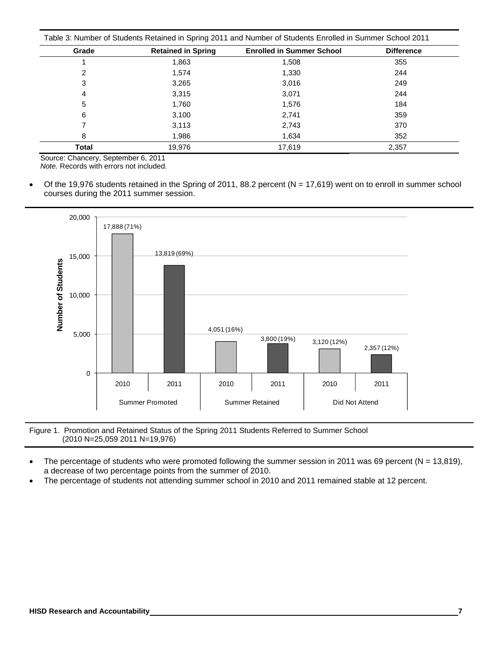| Grade        | <b>Retained in Spring</b> | <b>Enrolled in Summer School</b> | <b>Difference</b> |
|--------------|---------------------------|----------------------------------|-------------------|
|              | 1,863                     | 1,508                            | 355               |
| 2            | 1.574                     | 1,330                            | 244               |
| 3            | 3,265                     | 3,016                            | 249               |
| 4            | 3,315                     | 3,071                            | 244               |
| 5            | 1.760                     | 1.576                            | 184               |
| 6            | 3,100                     | 2,741                            | 359               |
|              | 3,113                     | 2,743                            | 370               |
| 8            | 1.986                     | 1,634                            | 352               |
| <b>Total</b> | 19.976                    | 17.619                           | 2,357             |

Source: Chancery, September 6, 2011 *Note.* Records with errors not included.

Of the 19,976 students retained in the Spring of 2011, 88.2 percent ( $N = 17,619$ ) went on to enroll in summer school courses during the 2011 summer session.



Figure 1. Promotion and Retained Status of the Spring 2011 Students Referred to Summer School (2010 N=25,059 2011 N=19,976)

- The percentage of students who were promoted following the summer session in 2011 was 69 percent ( $N = 13,819$ ), a decrease of two percentage points from the summer of 2010.
- The percentage of students not attending summer school in 2010 and 2011 remained stable at 12 percent.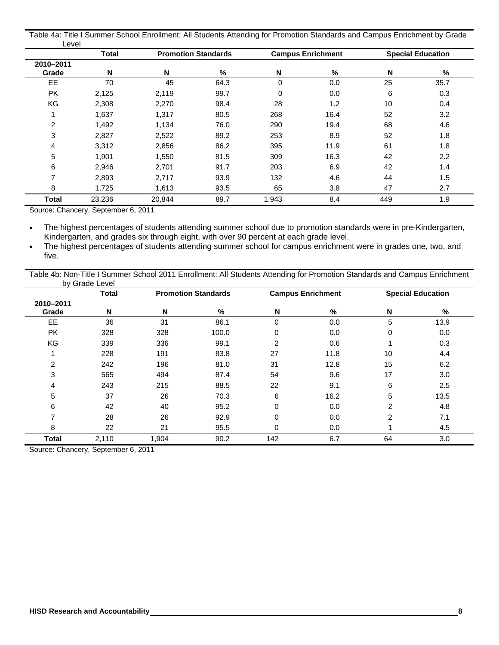|       |  | Table 4a: Title I Summer School Enrollment: All Students Attending for Promotion Standards and Campus Enrichment by Grade |
|-------|--|---------------------------------------------------------------------------------------------------------------------------|
| ∟evel |  |                                                                                                                           |

|                    | <b>Total</b> |        | <b>Promotion Standards</b> |       | <b>Campus Enrichment</b> |     | <b>Special Education</b> |
|--------------------|--------------|--------|----------------------------|-------|--------------------------|-----|--------------------------|
| 2010-2011<br>Grade | N            | N      | %                          | N     | %                        | N   | %                        |
| EE.                | 70           | 45     | 64.3                       | 0     | 0.0                      | 25  | 35.7                     |
| <b>PK</b>          | 2,125        | 2,119  | 99.7                       | 0     | 0.0                      | 6   | 0.3                      |
| KG                 | 2,308        | 2,270  | 98.4                       | 28    | 1.2                      | 10  | 0.4                      |
|                    | 1,637        | 1,317  | 80.5                       | 268   | 16.4                     | 52  | 3.2                      |
| 2                  | 1,492        | 1,134  | 76.0                       | 290   | 19.4                     | 68  | 4.6                      |
| 3                  | 2,827        | 2,522  | 89.2                       | 253   | 8.9                      | 52  | 1.8                      |
| 4                  | 3,312        | 2,856  | 86.2                       | 395   | 11.9                     | 61  | 1.8                      |
| 5                  | 1,901        | 1,550  | 81.5                       | 309   | 16.3                     | 42  | 2.2                      |
| 6                  | 2,946        | 2,701  | 91.7                       | 203   | 6.9                      | 42  | 1.4                      |
| ⇁                  | 2,893        | 2,717  | 93.9                       | 132   | 4.6                      | 44  | 1.5                      |
| 8                  | 1,725        | 1,613  | 93.5                       | 65    | 3.8                      | 47  | 2.7                      |
| Total              | 23,236       | 20,844 | 89.7                       | 1,943 | 8.4                      | 449 | 1.9                      |

Source: Chancery, September 6, 2011

 The highest percentages of students attending summer school due to promotion standards were in pre-Kindergarten, Kindergarten, and grades six through eight, with over 90 percent at each grade level.

 The highest percentages of students attending summer school for campus enrichment were in grades one, two, and five.

Table 4b: Non-Title I Summer School 2011 Enrollment: All Students Attending for Promotion Standards and Campus Enrichment by Grade Level

|                    | <b>Total</b> |       | <b>Promotion Standards</b> |             | <b>Campus Enrichment</b> |                | <b>Special Education</b> |
|--------------------|--------------|-------|----------------------------|-------------|--------------------------|----------------|--------------------------|
| 2010-2011<br>Grade | N            | N     | %                          | N           | %                        | N              | %                        |
| EE                 | 36           | 31    | 86.1                       | $\Omega$    | 0.0                      | 5              | 13.9                     |
| <b>PK</b>          | 328          | 328   | 100.0                      | 0           | 0.0                      | 0              | 0.0                      |
| KG                 | 339          | 336   | 99.1                       | 2           | 0.6                      |                | 0.3                      |
|                    | 228          | 191   | 83.8                       | 27          | 11.8                     | 10             | 4.4                      |
| 2                  | 242          | 196   | 81.0                       | 31          | 12.8                     | 15             | 6.2                      |
| 3                  | 565          | 494   | 87.4                       | 54          | 9.6                      | 17             | 3.0                      |
| 4                  | 243          | 215   | 88.5                       | 22          | 9.1                      | 6              | 2.5                      |
| 5                  | 37           | 26    | 70.3                       | 6           | 16.2                     | 5              | 13.5                     |
| 6                  | 42           | 40    | 95.2                       | $\Omega$    | 0.0                      | $\overline{2}$ | 4.8                      |
| 7                  | 28           | 26    | 92.9                       | $\mathbf 0$ | 0.0                      | 2              | 7.1                      |
| 8                  | 22           | 21    | 95.5                       | 0           | 0.0                      |                | 4.5                      |
| <b>Total</b>       | 2,110        | 1,904 | 90.2                       | 142         | 6.7                      | 64             | 3.0                      |

Source: Chancery, September 6, 2011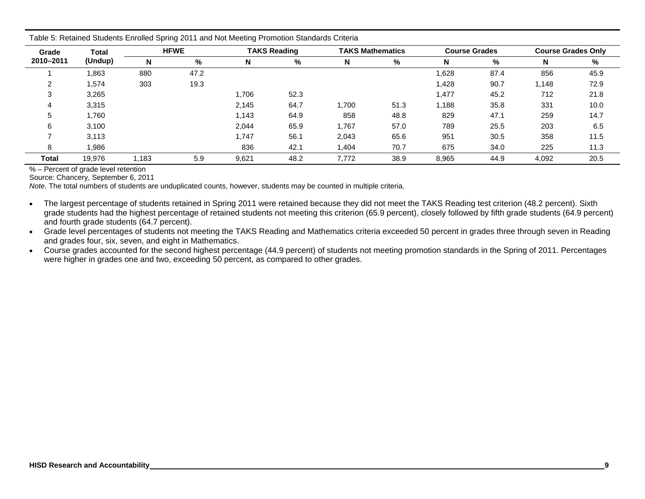| Grade        | Total   |       | <b>HFWE</b> |       | <b>TAKS Reading</b> |        | <b>TAKS Mathematics</b> |       | <b>Course Grades</b> |       | <b>Course Grades Only</b> |
|--------------|---------|-------|-------------|-------|---------------------|--------|-------------------------|-------|----------------------|-------|---------------------------|
| 2010-2011    | (Undup) | N     | %           | N     | %                   | N      | %                       |       | %                    | N     | %                         |
|              | ,863    | 880   | 47.2        |       |                     |        |                         | 1,628 | 87.4                 | 856   | 45.9                      |
|              | .574    | 303   | 19.3        |       |                     |        |                         | 1,428 | 90.7                 | 1,148 | 72.9                      |
| ◠            | 3,265   |       |             | 1,706 | 52.3                |        |                         | 1,477 | 45.2                 | 712   | 21.8                      |
|              | 3,315   |       |             | 2,145 | 64.7                | 1,700  | 51.3                    | 1,188 | 35.8                 | 331   | 10.0                      |
| :5           | 1.760   |       |             | 1,143 | 64.9                | 858    | 48.8                    | 829   | 47.1                 | 259   | 14.7                      |
| 6            | 3,100   |       |             | 2,044 | 65.9                | 767, ا | 57.0                    | 789   | 25.5                 | 203   | 6.5                       |
|              | 3,113   |       |             | 1,747 | 56.1                | 2,043  | 65.6                    | 951   | 30.5                 | 358   | 11.5                      |
| 8            | 986.    |       |             | 836   | 42.1                | 1,404  | 70.7                    | 675   | 34.0                 | 225   | 11.3                      |
| <b>Total</b> | 19.976  | 1.183 | 5.9         | 9,621 | 48.2                | 7.772  | 38.9                    | 8,965 | 44.9                 | 4,092 | 20.5                      |

Table 5: Retained Students Enrolled Spring 2011 and Not Meeting Promotion Standards Criteria

% – Percent of grade level retention

Source: Chancery, September 6, 2011

*Note.* The total numbers of students are unduplicated counts, however, students may be counted in multiple criteria.

 The largest percentage of students retained in Spring 2011 were retained because they did not meet the TAKS Reading test criterion (48.2 percent). Sixth grade students had the highest percentage of retained students not meeting this criterion (65.9 percent), closely followed by fifth grade students (64.9 percent) and fourth grade students (64.7 percent).

 $\bullet$  Grade level percentages of students not meeting the TAKS Reading and Mathematics criteria exceeded 50 percent in grades three through seven in Reading and grades four, six, seven, and eight in Mathematics.

 Course grades accounted for the second highest percentage (44.9 percent) of students not meeting promotion standards in the Spring of 2011. Percentages were higher in grades one and two, exceeding 50 percent, as compared to other grades.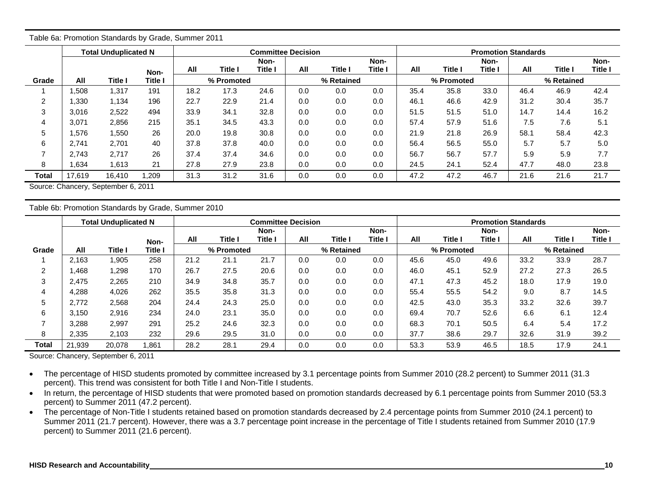|       |        | rable oa. Ffornollon Standards by Grade, Summer ZOTT |         |      |                |                           |     |            |         |      |                |                            |      |            |         |
|-------|--------|------------------------------------------------------|---------|------|----------------|---------------------------|-----|------------|---------|------|----------------|----------------------------|------|------------|---------|
|       |        | <b>Total Unduplicated N</b>                          |         |      |                | <b>Committee Decision</b> |     |            |         |      |                | <b>Promotion Standards</b> |      |            |         |
|       |        |                                                      |         |      |                | Non-                      |     |            | Non-    |      |                | Non-                       |      |            | Non-    |
|       |        |                                                      | Non-    | All  | <b>Title I</b> | Title I                   | All | Title I    | Title I | All  | <b>Title I</b> | Title I                    | All  | Title I    | Title I |
| Grade | All    | Title I                                              | Title I |      | % Promoted     |                           |     | % Retained |         |      | % Promoted     |                            |      | % Retained |         |
|       | .508   | 1,317                                                | 191     | 18.2 | 17.3           | 24.6                      | 0.0 | 0.0        | 0.0     | 35.4 | 35.8           | 33.0                       | 46.4 | 46.9       | 42.4    |
| 2     | 1,330  | 1,134                                                | 196     | 22.7 | 22.9           | 21.4                      | 0.0 | 0.0        | 0.0     | 46.1 | 46.6           | 42.9                       | 31.2 | 30.4       | 35.7    |
| 3     | 3,016  | 2,522                                                | 494     | 33.9 | 34.1           | 32.8                      | 0.0 | 0.0        | 0.0     | 51.5 | 51.5           | 51.0                       | 14.7 | 14.4       | 16.2    |
| 4     | 3,071  | 2.856                                                | 215     | 35.1 | 34.5           | 43.3                      | 0.0 | 0.0        | 0.0     | 57.4 | 57.9           | 51.6                       | 7.5  | 7.6        | 5.1     |
| 5     | 1,576  | 1,550                                                | 26      | 20.0 | 19.8           | 30.8                      | 0.0 | 0.0        | 0.0     | 21.9 | 21.8           | 26.9                       | 58.1 | 58.4       | 42.3    |
| 6     | 2.741  | 2.701                                                | 40      | 37.8 | 37.8           | 40.0                      | 0.0 | 0.0        | 0.0     | 56.4 | 56.5           | 55.0                       | 5.7  | 5.7        | 5.0     |
| 7     | 2,743  | 2,717                                                | 26      | 37.4 | 37.4           | 34.6                      | 0.0 | 0.0        | 0.0     | 56.7 | 56.7           | 57.7                       | 5.9  | 5.9        | 7.7     |
| 8     | 1,634  | 1,613                                                | 21      | 27.8 | 27.9           | 23.8                      | 0.0 | 0.0        | 0.0     | 24.5 | 24.1           | 52.4                       | 47.7 | 48.0       | 23.8    |
| Total | 17,619 | 16,410                                               | ,209    | 31.3 | 31.2           | 31.6                      | 0.0 | 0.0        | 0.0     | 47.2 | 47.2           | 46.7                       | 21.6 | 21.6       | 21.7    |

Table 6a: Promotion Standards by Grade, Summer 2011

Source: Chancery, September 6, 2011

Table 6b: Promotion Standards by Grade, Summer 2010

|                |        | <b>Total Unduplicated N</b> |                |      |            | <b>Committee Decision</b> |     |                |         |      |            | <b>Promotion Standards</b> |      |            |                |
|----------------|--------|-----------------------------|----------------|------|------------|---------------------------|-----|----------------|---------|------|------------|----------------------------|------|------------|----------------|
|                |        |                             |                |      |            | Non-                      |     |                | Non-    |      |            | Non-                       |      |            | Non-           |
|                |        |                             | Non-           | All  | Title I    | Title l                   | All | <b>Title I</b> | Title I | All  | Title I    | <b>Title I</b>             | All  | Title I    | <b>Title I</b> |
| Grade          | All    | Title I                     | <b>Title I</b> |      | % Promoted |                           |     | % Retained     |         |      | % Promoted |                            |      | % Retained |                |
|                | 2.163  | 1,905                       | 258            | 21.2 | 21.1       | 21.7                      | 0.0 | 0.0            | 0.0     | 45.6 | 45.0       | 49.6                       | 33.2 | 33.9       | 28.7           |
| $\overline{2}$ | .468   | 1,298                       | 170            | 26.7 | 27.5       | 20.6                      | 0.0 | 0.0            | 0.0     | 46.0 | 45.1       | 52.9                       | 27.2 | 27.3       | 26.5           |
| 3              | 2.475  | 2,265                       | 210            | 34.9 | 34.8       | 35.7                      | 0.0 | 0.0            | 0.0     | 47.1 | 47.3       | 45.2                       | 18.0 | 17.9       | 19.0           |
| 4              | 4,288  | 4,026                       | 262            | 35.5 | 35.8       | 31.3                      | 0.0 | 0.0            | 0.0     | 55.4 | 55.5       | 54.2                       | 9.0  | 8.7        | 14.5           |
| 5              | 2.772  | 2,568                       | 204            | 24.4 | 24.3       | 25.0                      | 0.0 | 0.0            | 0.0     | 42.5 | 43.0       | 35.3                       | 33.2 | 32.6       | 39.7           |
| 6              | 3.150  | 2,916                       | 234            | 24.0 | 23.1       | 35.0                      | 0.0 | 0.0            | 0.0     | 69.4 | 70.7       | 52.6                       | 6.6  | 6.1        | 12.4           |
|                | 3,288  | 2,997                       | 291            | 25.2 | 24.6       | 32.3                      | 0.0 | 0.0            | 0.0     | 68.3 | 70.1       | 50.5                       | 6.4  | 5.4        | 17.2           |
| 8              | 2,335  | 2,103                       | 232            | 29.6 | 29.5       | 31.0                      | 0.0 | 0.0            | 0.0     | 37.7 | 38.6       | 29.7                       | 32.6 | 31.9       | 39.2           |
| Total          | 21.939 | 20,078                      | 1,861          | 28.2 | 28.1       | 29.4                      | 0.0 | 0.0            | 0.0     | 53.3 | 53.9       | 46.5                       | 18.5 | 17.9       | 24.1           |

Source: Chancery, September 6, 2011

• The percentage of HISD students promoted by committee increased by 3.1 percentage points from Summer 2010 (28.2 percent) to Summer 2011 (31.3 percent). This trend was consistent for both Title I and Non-Title I students.

• In return, the percentage of HISD students that were promoted based on promotion standards decreased by 6.1 percentage points from Summer 2010 (53.3 percent) to Summer 2011 (47.2 percent).

• The percentage of Non-Title I students retained based on promotion standards decreased by 2.4 percentage points from Summer 2010 (24.1 percent) to Summer 2011 (21.7 percent). However, there was a 3.7 percentage point increase in the percentage of Title I students retained from Summer 2010 (17.9 percent) to Summer 2011 (21.6 percent).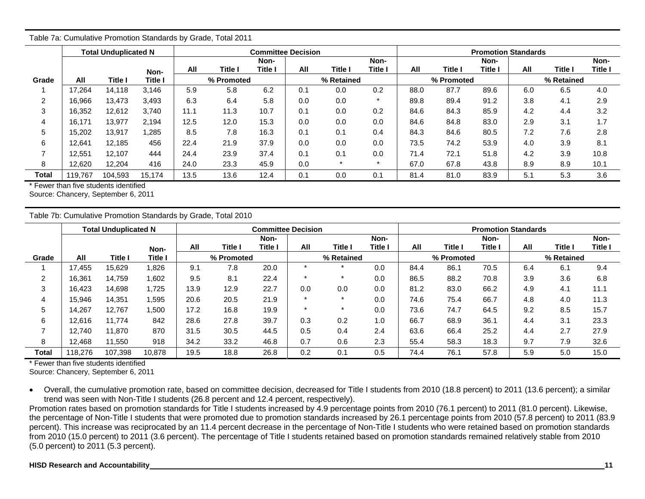|                |         | <b>Total Unduplicated N</b> |                |      |            | <b>Committee Decision</b> |     |            |         |      |            | <b>Promotion Standards</b> |     |            |         |
|----------------|---------|-----------------------------|----------------|------|------------|---------------------------|-----|------------|---------|------|------------|----------------------------|-----|------------|---------|
|                |         |                             |                |      |            | Non-                      |     |            | Non-    |      |            | Non-                       |     |            | Non-    |
|                |         |                             | Non-           | All  | Title I    | Title l                   | All | Title I    | Title I | All  | Title l    | Title I                    | All | Title I    | Title I |
| Grade          | All     | Title I                     | <b>Title I</b> |      | % Promoted |                           |     | % Retained |         |      | % Promoted |                            |     | % Retained |         |
|                | 17.264  | 14.118                      | 3.146          | 5.9  | 5.8        | 6.2                       | 0.1 | 0.0        | 0.2     | 88.0 | 87.7       | 89.6                       | 6.0 | 6.5        | 4.0     |
| $\overline{2}$ | 16,966  | 13.473                      | 3,493          | 6.3  | 6.4        | 5.8                       | 0.0 | 0.0        | $\star$ | 89.8 | 89.4       | 91.2                       | 3.8 | 4.1        | 2.9     |
| 3              | 16,352  | 12,612                      | 3.740          | 11.1 | 11.3       | 10.7                      | 0.1 | 0.0        | 0.2     | 84.6 | 84.3       | 85.9                       | 4.2 | 4.4        | 3.2     |
| 4              | 16.171  | 13.977                      | 2.194          | 12.5 | 12.0       | 15.3                      | 0.0 | 0.0        | 0.0     | 84.6 | 84.8       | 83.0                       | 2.9 | 3.1        | 1.7     |
| 5              | 15,202  | 13,917                      | .285           | 8.5  | 7.8        | 16.3                      | 0.1 | 0.1        | 0.4     | 84.3 | 84.6       | 80.5                       | 7.2 | 7.6        | 2.8     |
| 6              | 12,641  | 12,185                      | 456            | 22.4 | 21.9       | 37.9                      | 0.0 | 0.0        | 0.0     | 73.5 | 74.2       | 53.9                       | 4.0 | 3.9        | 8.1     |
|                | 12,551  | 12.107                      | 444            | 24.4 | 23.9       | 37.4                      | 0.1 | 0.1        | 0.0     | 71.4 | 72.1       | 51.8                       | 4.2 | 3.9        | 10.8    |
| 8              | 12,620  | 12,204                      | 416            | 24.0 | 23.3       | 45.9                      | 0.0 | $\star$    | $\ast$  | 67.0 | 67.8       | 43.8                       | 8.9 | 8.9        | 10.1    |
| Total          | 119,767 | 104,593                     | 15.174         | 13.5 | 13.6       | 12.4                      | 0.1 | 0.0        | 0.1     | 81.4 | 81.0       | 83.9                       | 5.1 | 5.3        | 3.6     |

Table 7a: Cumulative Promotion Standards by Grade, Total 2011

\* Fewer than five students identified

Source: Chancery, September 6, 2011

Table 7b: Cumulative Promotion Standards by Grade, Total 2010

|       |         | <b>Total Unduplicated N</b> |         |      |                | <b>Committee Decision</b> |     |            |         | <b>Promotion Standards</b> |            |         |     |                |         |  |
|-------|---------|-----------------------------|---------|------|----------------|---------------------------|-----|------------|---------|----------------------------|------------|---------|-----|----------------|---------|--|
|       |         |                             |         |      |                | Non-                      |     |            | Non-    |                            |            | Non-    |     |                | Non-    |  |
|       |         |                             | Non-    | All  | <b>Title I</b> | Title I                   | All | Title I    | Title I | All                        | Title I    | Title I | All | <b>Title I</b> | Title I |  |
| Grade | All     | Title l                     | Title I |      | % Promoted     |                           |     | % Retained |         |                            | % Promoted |         |     | % Retained     |         |  |
|       | 17.455  | 15.629                      | ,826    | 9.1  | 7.8            | 20.0                      |     |            | 0.0     | 84.4                       | 86.1       | 70.5    | 6.4 | 6.1            | 9.4     |  |
| 2     | 16,361  | 14,759                      | 1,602   | 9.5  | 8.1            | 22.4                      |     |            | 0.0     | 86.5                       | 88.2       | 70.8    | 3.9 | 3.6            | 6.8     |  |
| 3     | 16,423  | 14,698                      | 1,725   | 13.9 | 12.9           | 22.7                      | 0.0 | 0.0        | 0.0     | 81.2                       | 83.0       | 66.2    | 4.9 | 4.1            | 11.1    |  |
| 4     | 15.946  | 14.351                      | .595    | 20.6 | 20.5           | 21.9                      |     |            | 0.0     | 74.6                       | 75.4       | 66.7    | 4.8 | 4.0            | 11.3    |  |
| 5     | 14.267  | 12.767                      | ,500    | 17.2 | 16.8           | 19.9                      |     |            | 0.0     | 73.6                       | 74.7       | 64.5    | 9.2 | 8.5            | 15.7    |  |
| 6     | 12.616  | 11.774                      | 842     | 28.6 | 27.8           | 39.7                      | 0.3 | 0.2        | 1.0     | 66.7                       | 68.9       | 36.1    | 4.4 | 3.1            | 23.3    |  |
|       | 12.740  | 11.870                      | 870     | 31.5 | 30.5           | 44.5                      | 0.5 | 0.4        | 2.4     | 63.6                       | 66.4       | 25.2    | 4.4 | 2.7            | 27.9    |  |
| 8     | 12.468  | 11.550                      | 918     | 34.2 | 33.2           | 46.8                      | 0.7 | 0.6        | 2.3     | 55.4                       | 58.3       | 18.3    | 9.7 | 7.9            | 32.6    |  |
| Total | 118.276 | 107,398                     | 10.878  | 19.5 | 18.8           | 26.8                      | 0.2 | 0.1        | 0.5     | 74.4                       | 76.1       | 57.8    | 5.9 | 5.0            | 15.0    |  |

\* Fewer than five students identified

Source: Chancery, September 6, 2011

 Overall, the cumulative promotion rate, based on committee decision, decreased for Title I students from 2010 (18.8 percent) to 2011 (13.6 percent); a similar trend was seen with Non-Title I students (26.8 percent and 12.4 percent, respectively).

Promotion rates based on promotion standards for Title I students increased by 4.9 percentage points from 2010 (76.1 percent) to 2011 (81.0 percent). Likewise, the percentage of Non-Title I students that were promoted due to promotion standards increased by 26.1 percentage points from 2010 (57.8 percent) to 2011 (83.9 percent). This increase was reciprocated by an 11.4 percent decrease in the percentage of Non-Title I students who were retained based on promotion standards from 2010 (15.0 percent) to 2011 (3.6 percent). The percentage of Title I students retained based on promotion standards remained relatively stable from 2010 (5.0 percent) to 2011 (5.3 percent).

### **HISD Research and Accountability 11 11**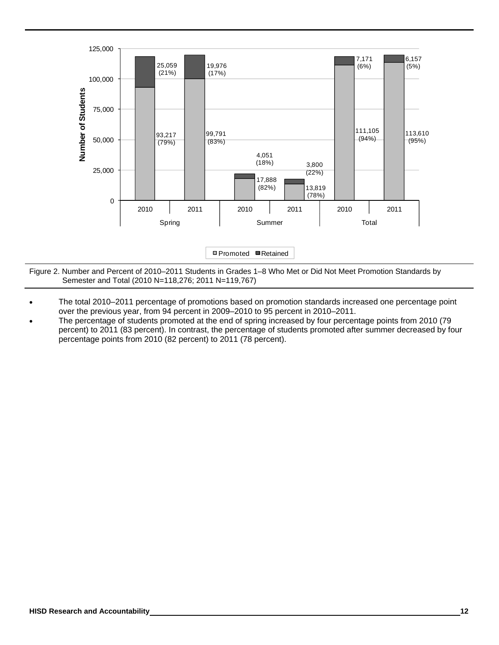

Figure 2. Number and Percent of 2010–2011 Students in Grades 1–8 Who Met or Did Not Meet Promotion Standards by Semester and Total (2010 N=118,276; 2011 N=119,767)

- The total 2010–2011 percentage of promotions based on promotion standards increased one percentage point over the previous year, from 94 percent in 2009–2010 to 95 percent in 2010–2011.
- The percentage of students promoted at the end of spring increased by four percentage points from 2010 (79 percent) to 2011 (83 percent). In contrast, the percentage of students promoted after summer decreased by four percentage points from 2010 (82 percent) to 2011 (78 percent).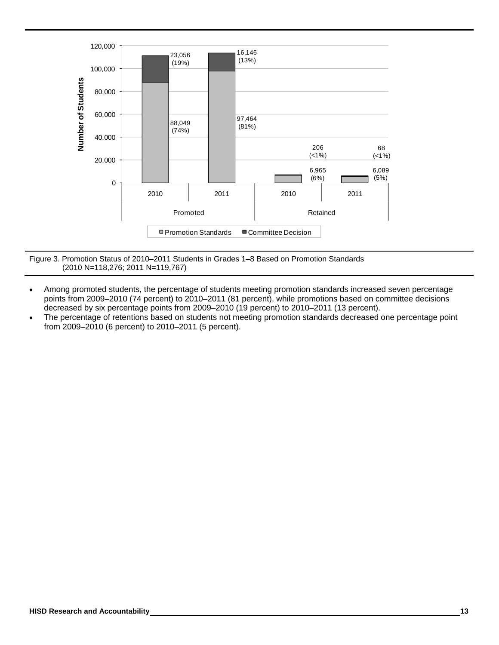

Figure 3. Promotion Status of 2010–2011 Students in Grades 1–8 Based on Promotion Standards (2010 N=118,276; 2011 N=119,767)

- Among promoted students, the percentage of students meeting promotion standards increased seven percentage points from 2009–2010 (74 percent) to 2010–2011 (81 percent), while promotions based on committee decisions decreased by six percentage points from 2009–2010 (19 percent) to 2010–2011 (13 percent).
- The percentage of retentions based on students not meeting promotion standards decreased one percentage point from 2009–2010 (6 percent) to 2010–2011 (5 percent).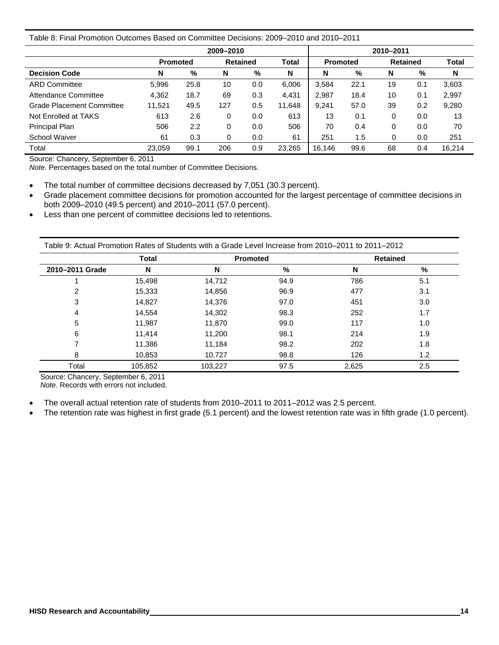### Table 8: Final Promotion Outcomes Based on Committee Decisions: 2009–2010 and 2010–2011

|                           |                 |      | 2009-2010 |                 |              |                 |      | 2010-2011       |     |        |
|---------------------------|-----------------|------|-----------|-----------------|--------------|-----------------|------|-----------------|-----|--------|
|                           | <b>Promoted</b> |      |           | <b>Retained</b> | <b>Total</b> | <b>Promoted</b> |      | <b>Retained</b> |     | Total  |
| <b>Decision Code</b>      | N               | %    | N         | %               | N            | N               | %    | N               | %   | N      |
| <b>ARD Committee</b>      | 5,996           | 25.8 | 10        | 0.0             | 6.006        | 3.584           | 22.1 | 19              | 0.1 | 3,603  |
| Attendance Committee      | 4,362           | 18.7 | 69        | 0.3             | 4.431        | 2,987           | 18.4 | 10              | 0.1 | 2,997  |
| Grade Placement Committee | 11,521          | 49.5 | 127       | 0.5             | 11,648       | 9.241           | 57.0 | 39              | 0.2 | 9,280  |
| Not Enrolled at TAKS      | 613             | 2.6  | 0         | 0.0             | 613          | 13              | 0.1  | 0               | 0.0 | 13     |
| Principal Plan            | 506             | 2.2  | 0         | 0.0             | 506          | 70              | 0.4  | 0               | 0.0 | 70     |
| School Waiver             | 61              | 0.3  | $\Omega$  | 0.0             | 61           | 251             | 1.5  | $\Omega$        | 0.0 | 251    |
| Total                     | 23.059          | 99.1 | 206       | 0.9             | 23.265       | 16.146          | 99.6 | 68              | 0.4 | 16.214 |

Source: Chancery, September 6, 2011

*Note.* Percentages based on the total number of Committee Decisions.

• The total number of committee decisions decreased by 7,051 (30.3 percent).

- Grade placement committee decisions for promotion accounted for the largest percentage of committee decisions in both 2009–2010 (49.5 percent) and 2010–2011 (57.0 percent).
- Less than one percent of committee decisions led to retentions.

Table 9: Actual Promotion Rates of Students with a Grade Level Increase from 2010–2011 to 2011–2012

|                 | <b>Total</b> | <b>Promoted</b> |      | <b>Retained</b> |     |
|-----------------|--------------|-----------------|------|-----------------|-----|
| 2010-2011 Grade | N            | N               | %    | N               | %   |
|                 | 15,498       | 14,712          | 94.9 | 786             | 5.1 |
| 2               | 15,333       | 14,856          | 96.9 | 477             | 3.1 |
| 3               | 14,827       | 14,376          | 97.0 | 451             | 3.0 |
| 4               | 14,554       | 14,302          | 98.3 | 252             | 1.7 |
| 5               | 11,987       | 11,870          | 99.0 | 117             | 1.0 |
| 6               | 11,414       | 11,200          | 98.1 | 214             | 1.9 |
| 7               | 11,386       | 11,184          | 98.2 | 202             | 1.8 |
| 8               | 10,853       | 10,727          | 98.8 | 126             | 1.2 |
| Total           | 105,852      | 103,227         | 97.5 | 2,625           | 2.5 |

Source: Chancery, September 6, 2011 *Note.* Records with errors not included.

- The overall actual retention rate of students from 2010–2011 to 2011–2012 was 2.5 percent.
- The retention rate was highest in first grade (5.1 percent) and the lowest retention rate was in fifth grade (1.0 percent).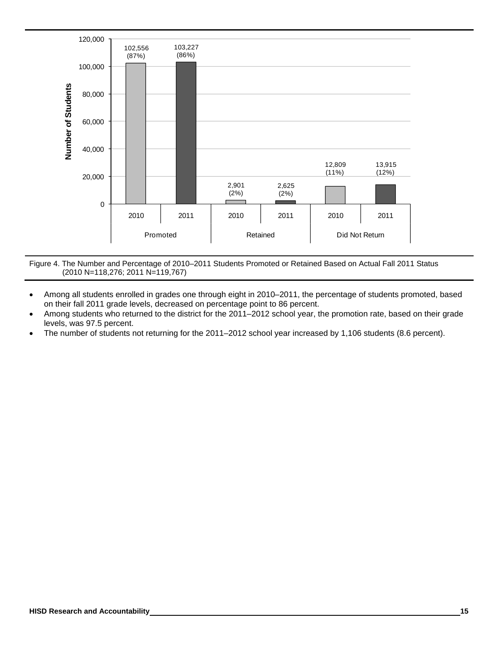

Figure 4. The Number and Percentage of 2010–2011 Students Promoted or Retained Based on Actual Fall 2011 Status (2010 N=118,276; 2011 N=119,767)

- Among all students enrolled in grades one through eight in 2010–2011, the percentage of students promoted, based on their fall 2011 grade levels, decreased on percentage point to 86 percent.
- Among students who returned to the district for the 2011–2012 school year, the promotion rate, based on their grade levels, was 97.5 percent.
- The number of students not returning for the 2011–2012 school year increased by 1,106 students (8.6 percent).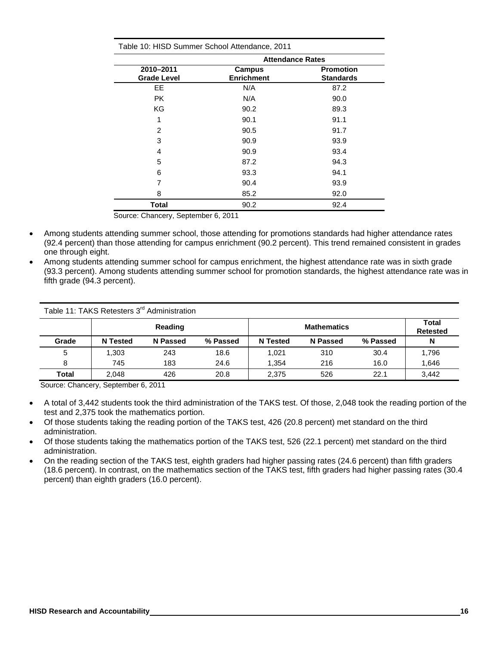|                                 |                             | <b>Attendance Rates</b>              |
|---------------------------------|-----------------------------|--------------------------------------|
| 2010-2011<br><b>Grade Level</b> | Campus<br><b>Enrichment</b> | <b>Promotion</b><br><b>Standards</b> |
| <b>EE</b>                       | N/A                         | 87.2                                 |
| <b>PK</b>                       | N/A                         | 90.0                                 |
| KG                              | 90.2                        | 89.3                                 |
| 1                               | 90.1                        | 91.1                                 |
| 2                               | 90.5                        | 91.7                                 |
| 3                               | 90.9                        | 93.9                                 |
| 4                               | 90.9                        | 93.4                                 |
| 5                               | 87.2                        | 94.3                                 |
| 6                               | 93.3                        | 94.1                                 |
| 7                               | 90.4                        | 93.9                                 |
| 8                               | 85.2                        | 92.0                                 |
| <b>Total</b>                    | 90.2                        | 92.4                                 |

Table 10: HISD Summer School Attendance, 2011

Source: Chancery, September 6, 2011

- Among students attending summer school, those attending for promotions standards had higher attendance rates (92.4 percent) than those attending for campus enrichment (90.2 percent). This trend remained consistent in grades one through eight.
- Among students attending summer school for campus enrichment, the highest attendance rate was in sixth grade (93.3 percent). Among students attending summer school for promotion standards, the highest attendance rate was in fifth grade (94.3 percent).

|       | Table 11: TAKS Retesters 3 <sup>rd</sup> Administration |                 |          |                 |                    |          |                          |
|-------|---------------------------------------------------------|-----------------|----------|-----------------|--------------------|----------|--------------------------|
|       |                                                         | Reading         |          |                 | <b>Mathematics</b> |          | Total<br><b>Retested</b> |
| Grade | <b>N</b> Tested                                         | <b>N</b> Passed | % Passed | <b>N</b> Tested | <b>N</b> Passed    | % Passed | N                        |
| 5     | .303                                                    | 243             | 18.6     | 1.021           | 310                | 30.4     | 1,796                    |
| 8     | 745                                                     | 183             | 24.6     | 1.354           | 216                | 16.0     | 1,646                    |
| Total | 2.048                                                   | 426             | 20.8     | 2.375           | 526                | 22.1     | 3,442                    |

Source: Chancery, September 6, 2011

- A total of 3,442 students took the third administration of the TAKS test. Of those, 2,048 took the reading portion of the test and 2,375 took the mathematics portion.
- Of those students taking the reading portion of the TAKS test, 426 (20.8 percent) met standard on the third administration.
- Of those students taking the mathematics portion of the TAKS test, 526 (22.1 percent) met standard on the third administration.
- On the reading section of the TAKS test, eighth graders had higher passing rates (24.6 percent) than fifth graders (18.6 percent). In contrast, on the mathematics section of the TAKS test, fifth graders had higher passing rates (30.4 percent) than eighth graders (16.0 percent).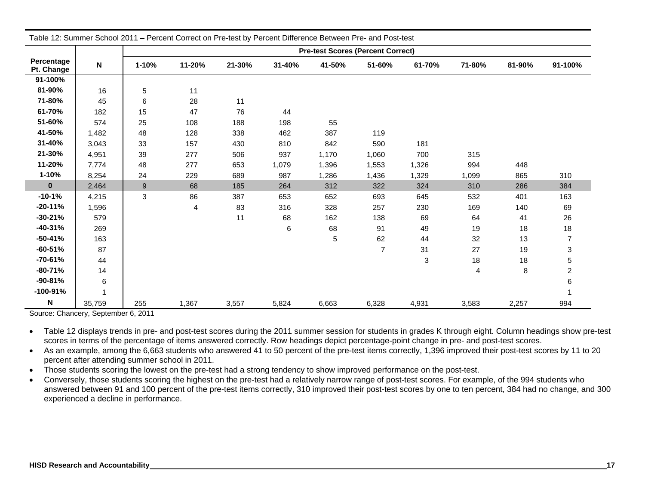|                          |           |                  | Table 12: Summer School 2011 - Percent Correct on Pre-test by Percent Difference Between Pre- and Post-test |        |        |                                          |                |        |                |        |                         |
|--------------------------|-----------|------------------|-------------------------------------------------------------------------------------------------------------|--------|--------|------------------------------------------|----------------|--------|----------------|--------|-------------------------|
|                          |           |                  |                                                                                                             |        |        | <b>Pre-test Scores (Percent Correct)</b> |                |        |                |        |                         |
| Percentage<br>Pt. Change | ${\sf N}$ | 1-10%            | 11-20%                                                                                                      | 21-30% | 31-40% | 41-50%                                   | 51-60%         | 61-70% | 71-80%         | 81-90% | 91-100%                 |
| 91-100%                  |           |                  |                                                                                                             |        |        |                                          |                |        |                |        |                         |
| 81-90%                   | 16        | 5                | 11                                                                                                          |        |        |                                          |                |        |                |        |                         |
| 71-80%                   | 45        | 6                | 28                                                                                                          | 11     |        |                                          |                |        |                |        |                         |
| 61-70%                   | 182       | 15               | 47                                                                                                          | 76     | 44     |                                          |                |        |                |        |                         |
| 51-60%                   | 574       | 25               | 108                                                                                                         | 188    | 198    | 55                                       |                |        |                |        |                         |
| 41-50%                   | 1,482     | 48               | 128                                                                                                         | 338    | 462    | 387                                      | 119            |        |                |        |                         |
| 31-40%                   | 3,043     | 33               | 157                                                                                                         | 430    | 810    | 842                                      | 590            | 181    |                |        |                         |
| 21-30%                   | 4,951     | 39               | 277                                                                                                         | 506    | 937    | 1,170                                    | 1,060          | 700    | 315            |        |                         |
| 11-20%                   | 7,774     | 48               | 277                                                                                                         | 653    | 1,079  | 1,396                                    | 1,553          | 1,326  | 994            | 448    |                         |
| $1 - 10%$                | 8,254     | 24               | 229                                                                                                         | 689    | 987    | 1,286                                    | 1,436          | 1,329  | 1,099          | 865    | 310                     |
| $\pmb{0}$                | 2,464     | $\boldsymbol{9}$ | 68                                                                                                          | 185    | 264    | 312                                      | 322            | 324    | 310            | 286    | 384                     |
| $-10-1%$                 | 4,215     | 3                | 86                                                                                                          | 387    | 653    | 652                                      | 693            | 645    | 532            | 401    | 163                     |
| $-20-11%$                | 1,596     |                  | 4                                                                                                           | 83     | 316    | 328                                      | 257            | 230    | 169            | 140    | 69                      |
| $-30-21%$                | 579       |                  |                                                                                                             | 11     | 68     | 162                                      | 138            | 69     | 64             | 41     | 26                      |
| $-40-31%$                | 269       |                  |                                                                                                             |        | 6      | 68                                       | 91             | 49     | 19             | 18     | 18                      |
| $-50 - 41%$              | 163       |                  |                                                                                                             |        |        | 5                                        | 62             | 44     | 32             | 13     | $\overline{7}$          |
| $-60-51%$                | 87        |                  |                                                                                                             |        |        |                                          | $\overline{7}$ | 31     | 27             | 19     | 3                       |
| $-70 - 61%$              | 44        |                  |                                                                                                             |        |        |                                          |                | 3      | 18             | 18     | 5                       |
| $-80 - 71%$              | 14        |                  |                                                                                                             |        |        |                                          |                |        | $\overline{4}$ | 8      | $\overline{\mathbf{c}}$ |
| $-90-81%$                | 6         |                  |                                                                                                             |        |        |                                          |                |        |                |        | 6                       |
| $-100 - 91%$             |           |                  |                                                                                                             |        |        |                                          |                |        |                |        |                         |
| N                        | 35,759    | 255              | 1,367                                                                                                       | 3,557  | 5,824  | 6,663                                    | 6,328          | 4,931  | 3,583          | 2,257  | 994                     |

Source: Chancery, September 6, 2011

 Table 12 displays trends in pre- and post-test scores during the 2011 summer session for students in grades K through eight. Column headings show pre-test scores in terms of the percentage of items answered correctly. Row headings depict percentage-point change in pre- and post-test scores.

 As an example, among the 6,663 students who answered 41 to 50 percent of the pre-test items correctly, 1,396 improved their post-test scores by 11 to 20 percent after attending summer school in 2011.

• Those students scoring the lowest on the pre-test had a strong tendency to show improved performance on the post-test.

• Conversely, those students scoring the highest on the pre-test had a relatively narrow range of post-test scores. For example, of the 994 students who answered between 91 and 100 percent of the pre-test items correctly, 310 improved their post-test scores by one to ten percent, 384 had no change, and 300 experienced a decline in performance.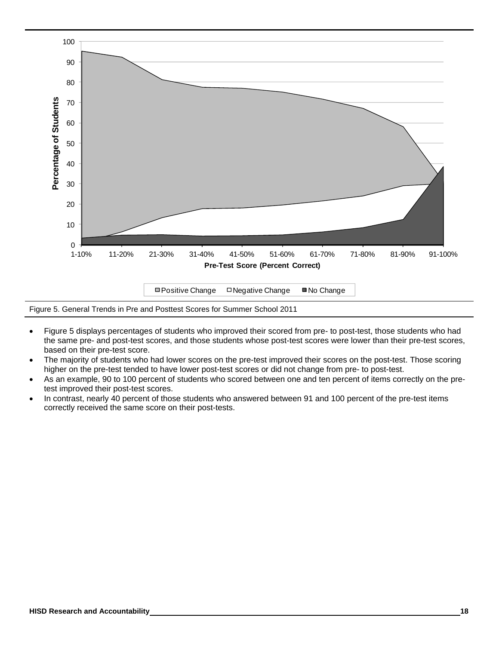

Figure 5. General Trends in Pre and Posttest Scores for Summer School 2011

- Figure 5 displays percentages of students who improved their scored from pre- to post-test, those students who had the same pre- and post-test scores, and those students whose post-test scores were lower than their pre-test scores, based on their pre-test score.
- The majority of students who had lower scores on the pre-test improved their scores on the post-test. Those scoring higher on the pre-test tended to have lower post-test scores or did not change from pre- to post-test.
- As an example, 90 to 100 percent of students who scored between one and ten percent of items correctly on the pretest improved their post-test scores.
- In contrast, nearly 40 percent of those students who answered between 91 and 100 percent of the pre-test items correctly received the same score on their post-tests.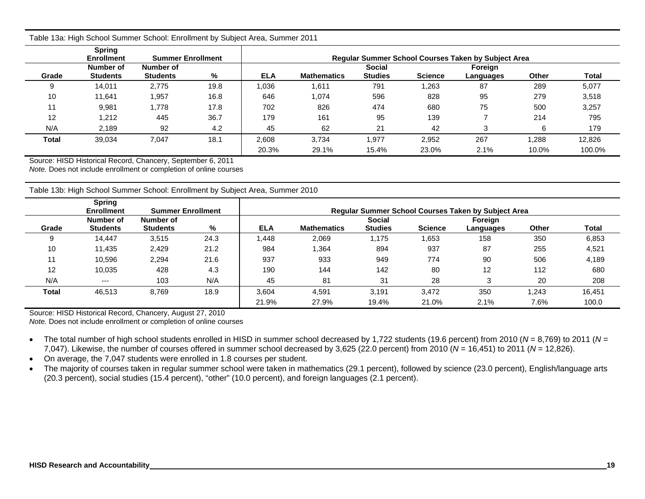|              | <b>Spring</b><br><b>Enrollment</b> | <b>Requiar Summer School Courses Taken by Subject Area</b><br><b>Summer Enrollment</b> |      |            |                    |                                 |                |                      |              |        |  |  |
|--------------|------------------------------------|----------------------------------------------------------------------------------------|------|------------|--------------------|---------------------------------|----------------|----------------------|--------------|--------|--|--|
| Grade        | Number of<br><b>Students</b>       | Number of<br><b>Students</b>                                                           | %    | <b>ELA</b> | <b>Mathematics</b> | <b>Social</b><br><b>Studies</b> | <b>Science</b> | Foreign<br>Languages | <b>Other</b> | Total  |  |  |
| 9            | 14.011                             | 2.775                                                                                  | 19.8 | 1,036      | .611               | 791                             | 1,263          | 87                   | 289          | 5,077  |  |  |
| 10           | 11.641                             | 1,957                                                                                  | 16.8 | 646        | 1,074              | 596                             | 828            | 95                   | 279          | 3,518  |  |  |
| 11           | 9,981                              | 1,778                                                                                  | 17.8 | 702        | 826                | 474                             | 680            | 75                   | 500          | 3,257  |  |  |
| 12           | 1,212                              | 445                                                                                    | 36.7 | 179        | 161                | 95                              | 139            |                      | 214          | 795    |  |  |
| N/A          | 2,189                              | 92                                                                                     | 4.2  | 45         | 62                 | 21                              | 42             |                      | 6            | 179    |  |  |
| <b>Total</b> | 39,034                             | 7,047                                                                                  | 18.1 | 2.608      | 3,734              | 1.977                           | 2,952          | 267                  | .288.        | 12,826 |  |  |
|              |                                    |                                                                                        |      | 20.3%      | 29.1%              | 15.4%                           | 23.0%          | 2.1%                 | 10.0%        | 100.0% |  |  |

Table 13a: High School Summer School: Enrollment by Subject Area, Summer 2011

Source: HISD Historical Record, Chancery, September 6, 2011

*Note.* Does not include enrollment or completion of online courses

Table 13b: High School Summer School: Enrollment by Subject Area, Summer 2010

|       | <b>Spring</b><br><b>Enrollment</b> | <b>Summer Enrollment</b>     |      |            |                    |                                 |                | <b>Regular Summer School Courses Taken by Subject Area</b> |       |        |
|-------|------------------------------------|------------------------------|------|------------|--------------------|---------------------------------|----------------|------------------------------------------------------------|-------|--------|
| Grade | Number of<br><b>Students</b>       | Number of<br><b>Students</b> | %    | <b>ELA</b> | <b>Mathematics</b> | <b>Social</b><br><b>Studies</b> | <b>Science</b> | Foreign<br>Languages                                       | Other | Total  |
|       | 14.447                             | 3,515                        | 24.3 | .448       | 2,069              | 1,175                           | .653           | 158                                                        | 350   | 6,853  |
| 10    | 11,435                             | 2,429                        | 21.2 | 984        | .364               | 894                             | 937            | 87                                                         | 255   | 4,521  |
|       | 10,596                             | 2,294                        | 21.6 | 937        | 933                | 949                             | 774            | 90                                                         | 506   | 4,189  |
| 12    | 10.035                             | 428                          | 4.3  | 190        | 144                | 142                             | 80             | $12 \overline{ }$                                          | 112   | 680    |
| N/A   | $--$                               | 103                          | N/A  | 45         | 81                 | 31                              | 28             | 3                                                          | 20    | 208    |
| Total | 46,513                             | 8,769                        | 18.9 | 3,604      | 4,591              | 3,191                           | 3,472          | 350                                                        | 1,243 | 16,451 |
|       |                                    |                              |      | 21.9%      | 27.9%              | 19.4%                           | 21.0%          | 2.1%                                                       | 7.6%  | 100.0  |

Source: HISD Historical Record, Chancery, August 27, 2010

*Note.* Does not include enrollment or completion of online courses

 The total number of high school students enrolled in HISD in summer school decreased by 1,722 students (19.6 percent) from 2010 ( *N* = 8,769) to 2011 ( *N* <sup>=</sup> 7,047). Likewise, the number of courses offered in summer school decreased by 3,625 (22.0 percent) from 2010 ( *N* = 16,451) to 2011 ( *N* = 12,826).

On average, the 7,047 students were enrolled in 1.8 courses per student.

• The majority of courses taken in regular summer school were taken in mathematics (29.1 percent), followed by science (23.0 percent), English/language arts (20.3 percent), social studies (15.4 percent), "other" (10.0 percent), and foreign languages (2.1 percent).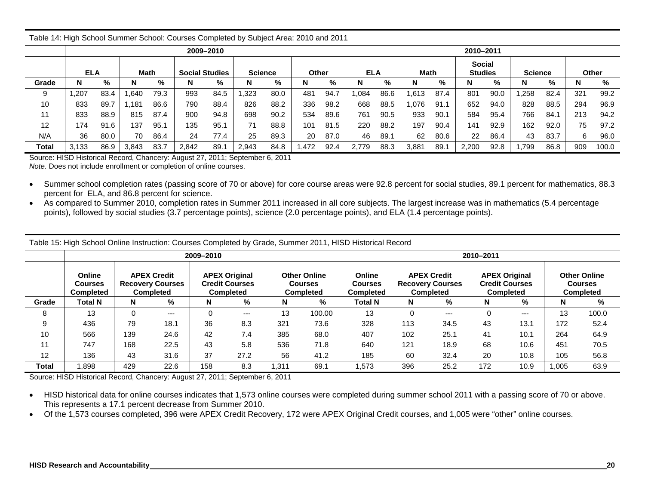|       | ້                                                             |      |       |      |       |           |       |      |       |      |            |      |             |      |                                 |      |                |      |     |       |
|-------|---------------------------------------------------------------|------|-------|------|-------|-----------|-------|------|-------|------|------------|------|-------------|------|---------------------------------|------|----------------|------|-----|-------|
|       |                                                               |      |       |      |       | 2009-2010 |       |      |       |      |            |      |             |      | 2010-2011                       |      |                |      |     |       |
|       | <b>ELA</b><br>Math<br><b>Social Studies</b><br><b>Science</b> |      |       |      |       |           |       |      | Other |      | <b>ELA</b> |      | <b>Math</b> |      | <b>Social</b><br><b>Studies</b> |      | <b>Science</b> |      |     | Other |
| Grade | N                                                             | %    |       | %    | N     | %         | N     | %    | N     | %    | N          | %    | N           | %    |                                 | %    | N              | %    | N   | %     |
| 9     | .207                                                          | 83.4 | .640  | 79.3 | 993   | 84.5      | .323  | 80.0 | 481   | 94.7 | .084       | 86.6 | .613        | 87.4 | 801                             | 90.0 | .258           | 82.4 | 321 | 99.2  |
| 10    | 833                                                           | 89.7 | .181  | 86.6 | 790   | 88.4      | 826   | 88.2 | 336   | 98.2 | 668        | 88.5 | .076        | 91.1 | 652                             | 94.0 | 828            | 88.5 | 294 | 96.9  |
| 11    | 833                                                           | 88.9 | 815   | 87.4 | 900   | 94.8      | 698   | 90.2 | 534   | 89.6 | 761        | 90.5 | 933         | 90.1 | 584                             | 95.4 | 766            | 84.  | 213 | 94.2  |
| 12    | 174                                                           | 91.6 | 137   | 95.1 | 135   | 95.1      | 71    | 88.8 | 101   | 81.5 | 220        | 88.2 | 197         | 90.4 | 141                             | 92.9 | 162            | 92.0 | 75  | 97.2  |
| N/A   | 36                                                            | 80.0 | 70    | 86.4 | 24    | 77.4      | 25    | 89.3 | 20    | 87.0 | 46         | 89.1 | 62          | 80.6 | 22                              | 86.4 | 43             | 83.7 | 6   | 96.0  |
| Total | 3,133                                                         | 86.9 | 3,843 | 83.7 | 2,842 | 89.1      | 2,943 | 84.8 | ,472  | 92.4 | 2,779      | 88.3 | 3,881       | 89.1 | 2,200                           | 92.8 | .799           | 86.8 | 909 | 100.0 |

Table 14: High School Summer School: Courses Completed by Subject Area: 2010 and 2011

Source: HISD Historical Record, Chancery: August 27, 2011; September 6, 2011 *Note.* Does not include enrollment or completion of online courses.

• Summer school completion rates (passing score of 70 or above) for core course areas were 92.8 percent for social studies, 89.1 percent for mathematics, 88.3 percent for ELA, and 86.8 percent for science.

 As compared to Summer 2010, completion rates in Summer 2011 increased in all core subjects. The largest increase was in mathematics (5.4 percentage points), followed by social studies (3.7 percentage points), science (2.0 percentage points), and ELA (1.4 percentage points).

|       | ັ                                     |          |                                                                   |                                                                             |       |        |                                                    |                                       |                                                                   |       |                                                                   |      |       |                                                           |
|-------|---------------------------------------|----------|-------------------------------------------------------------------|-----------------------------------------------------------------------------|-------|--------|----------------------------------------------------|---------------------------------------|-------------------------------------------------------------------|-------|-------------------------------------------------------------------|------|-------|-----------------------------------------------------------|
|       |                                       |          |                                                                   | 2009-2010                                                                   |       |        |                                                    |                                       |                                                                   |       | 2010-2011                                                         |      |       |                                                           |
|       | Online<br><b>Courses</b><br>Completed |          | <b>APEX Credit</b><br><b>Recovery Courses</b><br><b>Completed</b> | <b>APEX Original</b><br><b>Credit Courses</b><br><b>Completed</b><br>%<br>N |       |        | <b>Other Online</b><br><b>Courses</b><br>Completed | Online<br><b>Courses</b><br>Completed | <b>APEX Credit</b><br><b>Recovery Courses</b><br><b>Completed</b> |       | <b>APEX Original</b><br><b>Credit Courses</b><br><b>Completed</b> |      |       | <b>Other Online</b><br><b>Courses</b><br><b>Completed</b> |
| Grade | <b>Total N</b>                        | N        | %                                                                 |                                                                             |       | %<br>N |                                                    | Total N                               | N                                                                 | %     | N                                                                 | %    | N     | %                                                         |
| 8     | 13                                    | $\Omega$ | $---$                                                             | 0                                                                           | $---$ | 13     | 100.00                                             | 13                                    | 0                                                                 | $---$ | $\Omega$                                                          | $--$ | 13    | 100.0                                                     |
| 9     | 436                                   | 79       | 18.1                                                              | 36                                                                          | 8.3   | 321    | 73.6                                               | 328                                   | 113                                                               | 34.5  | 43                                                                | 13.1 | 172   | 52.4                                                      |
| 10    | 566                                   | 139      | 24.6                                                              | 42                                                                          | 7.4   | 385    | 68.0                                               | 407                                   | 102                                                               | 25.1  | 41                                                                | 10.1 | 264   | 64.9                                                      |
| 11    | 747                                   | 168      | 22.5                                                              | 43                                                                          | 5.8   | 536    | 71.8                                               | 640                                   | 121                                                               | 18.9  | 68                                                                | 10.6 | 451   | 70.5                                                      |
| 12    | 136                                   | 43       | 31.6                                                              | 37                                                                          | 27.2  | 56     | 41.2                                               | 185                                   | 60                                                                | 32.4  | 20                                                                | 10.8 | 105   | 56.8                                                      |
| Total | .898                                  | 429      | 22.6                                                              | 158                                                                         | 8.3   | .311   | 69.1                                               | 1,573                                 | 396                                                               | 25.2  | 172                                                               | 10.9 | 1,005 | 63.9                                                      |

Table 15: High School Online Instruction: Courses Completed by Grade, Summer 2011, HISD Historical Record

Source: HISD Historical Record, Chancery: August 27, 2011; September 6, 2011

- HISD historical data for online courses indicates that 1,573 online courses were completed during summer school 2011 with a passing score of 70 or above. This represents a 17.1 percent decrease from Summer 2010.
- Of the 1,573 courses completed, 396 were APEX Credit Recovery, 172 were APEX Original Credit courses, and 1,005 were "other" online courses.